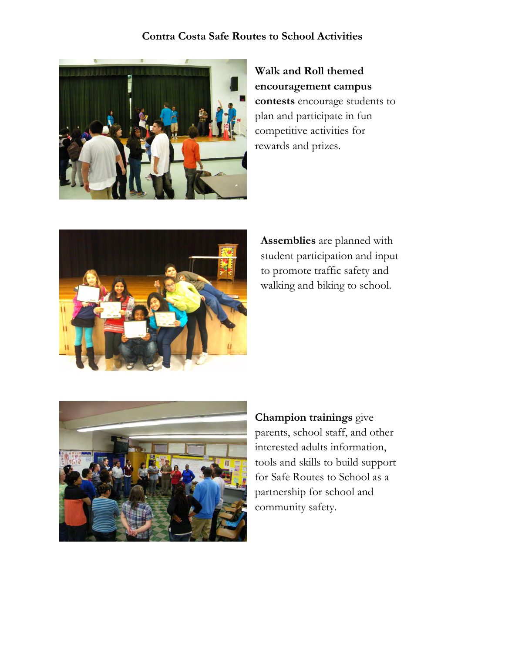

**Walk and Roll themed encouragement campus contests** encourage students to plan and participate in fun competitive activities for rewards and prizes.



**Assemblies** are planned with student participation and input to promote traffic safety and walking and biking to school.



**Champion trainings** give parents, school staff, and other interested adults information, tools and skills to build support for Safe Routes to School as a partnership for school and community safety.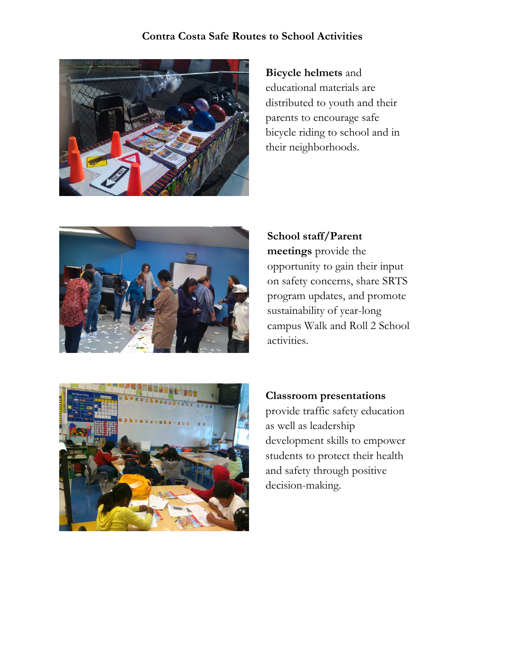

**Bicycle helmets** and educational materials are distributed to youth and their parents to encourage safe bicycle riding to school and in their neighborhoods.



**School staff/Parent meetings** provide the opportunity to gain their input on safety concerns, share SRTS program updates, and promote sustainability of year-long campus Walk and Roll 2 School activities.



**Classroom presentations** provide traffic safety education as well as leadership development skills to empower students to protect their health and safety through positive decision-making.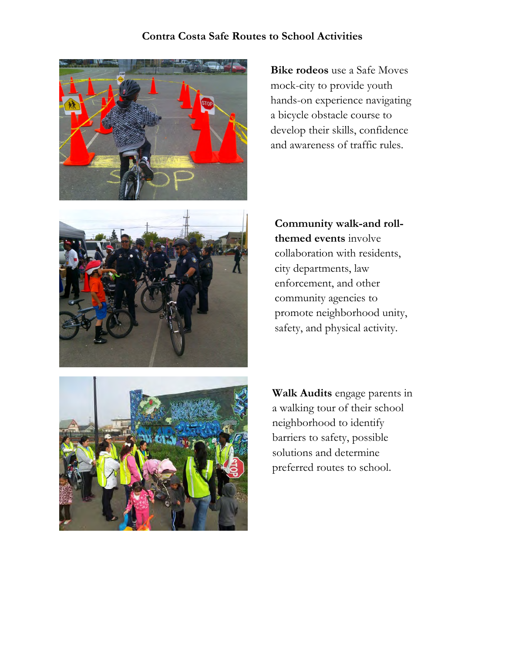

**Bike rodeos** use a Safe Moves mock-city to provide youth hands-on experience navigating a bicycle obstacle course to develop their skills, confidence and awareness of traffic rules.



**Community walk-and rollthemed events** involve collaboration with residents, city departments, law enforcement, and other community agencies to promote neighborhood unity, safety, and physical activity.



**Walk Audits** engage parents in a walking tour of their school neighborhood to identify barriers to safety, possible solutions and determine preferred routes to school.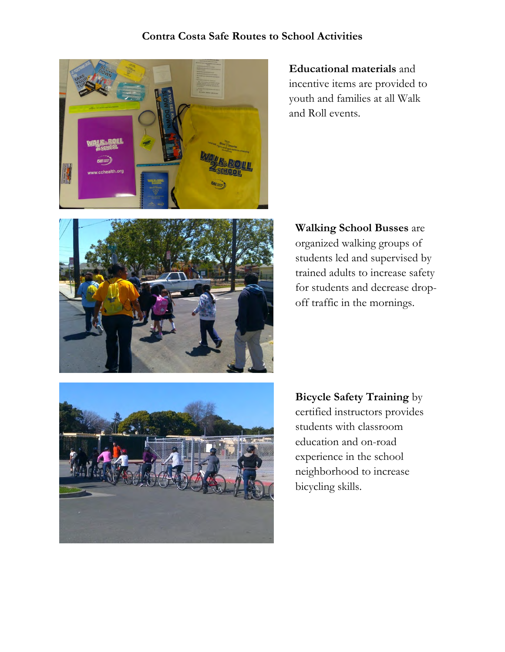

**Educational materials** and incentive items are provided to youth and families at all Walk and Roll events.



**Walking School Busses** are organized walking groups of students led and supervised by trained adults to increase safety for students and decrease dropoff traffic in the mornings.



**Bicycle Safety Training** by certified instructors provides students with classroom education and on-road experience in the school neighborhood to increase bicycling skills.